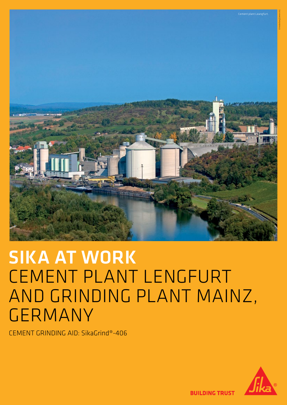

# SIKA AT WORK CEMENT PLANT LENGFURT AND GRINDING PLANT MAINZ, GERMANY

CEMENT GRINDING AID: SikaGrind®-406



**BUILDING TRUST**